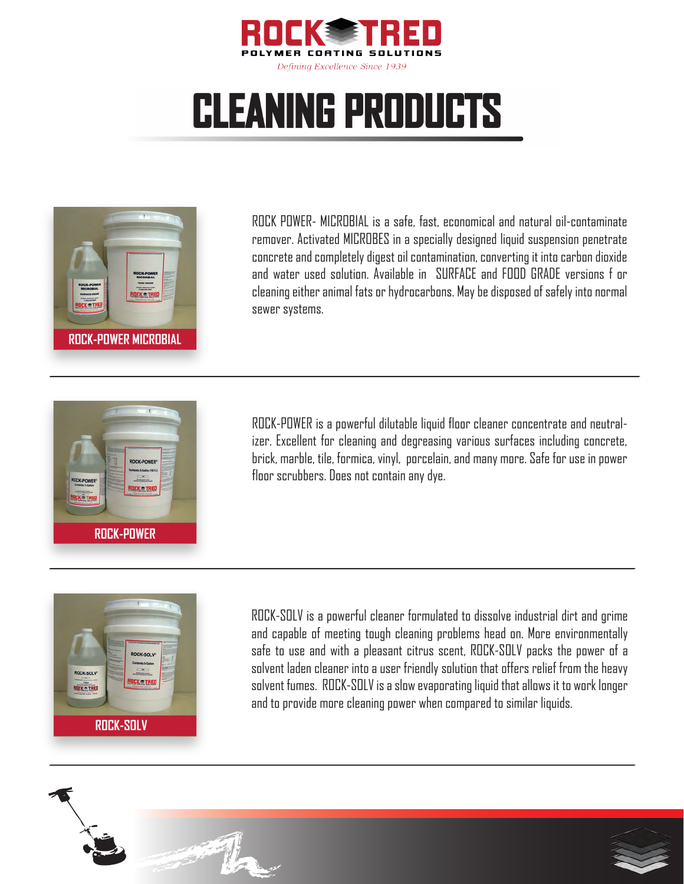

## **CLEANING PRODUCTS**



ROCK POWER- MICROBIAL is a safe, fast, economical and natural oil-contaminate remover. Activated MICROBES in a specially designed liquid suspension penetrate concrete and completely digest oil contamination, converting it into carbon dioxide and water used solution. Available in SURFACE and FOOD GRADE versions f or cleaning either animal fats or hydrocarbons. May be disposed of safely into normal sewer systems.



ROCK-POWER is a powerful dilutable liquid floor cleaner concentrate and neutralizer. Excellent for cleaning and degreasing various surfaces including concrete, brick, marble, tile, formica, vinyl, porcelain, and many more. Safe for use in power floor scrubbers. Does not contain any dye.



ROCK-SOLV is a powerful cleaner formulated to dissolve industrial dirt and grime and capable of meeting tough cleaning problems head on. More environmentally safe to use and with a pleasant citrus scent, ROCK-SOLV packs the power of a solvent laden cleaner into a user friendly solution that offers relief from the heavy solvent fumes. ROCK-SOLV is a slow evaporating liquid that allows it to work longer and to provide more cleaning power when compared to similar liquids.